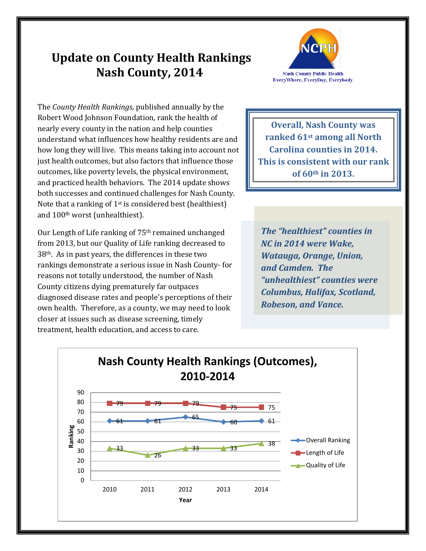## **Update on County Health Rankings Nash County, 2014**



The *County Health Rankings*, published annually by the Robert Wood Johnson Foundation, rank the health of nearly every county in the nation and help counties understand what influences how healthy residents are and how long they will live. This means taking into account not just health outcomes, but also factors that influence those outcomes, like poverty levels, the physical environment, and practiced health behaviors. The 2014 update shows both successes and continued challenges for Nash County. Note that a ranking of  $1<sup>st</sup>$  is considered best (healthiest) and 100th worst (unhealthiest).

Our Length of Life ranking of 75th remained unchanged from 2013, but our Quality of Life ranking decreased to  $38<sup>th</sup>$ . As in past years, the differences in these two rankings demonstrate a serious issue in Nash County- for reasons not totally understood, the number of Nash County citizens dying prematurely far outpaces diagnosed disease rates and people's perceptions of their own health. Therefore, as a county, we may need to look closer at issues such as disease screening, timely treatment, health education, and access to care.

**Overall, Nash County was ranked 61st among all North Carolina counties in 2014. This is consistent with our rank of 60th in 2013.**

*The "healthiest" counties in NC in 2014 were Wake, Watauga, Orange, Union, and Camden. The "unhealthiest" counties were Columbus, Halifax, Scotland, Robeson, and Vance.*